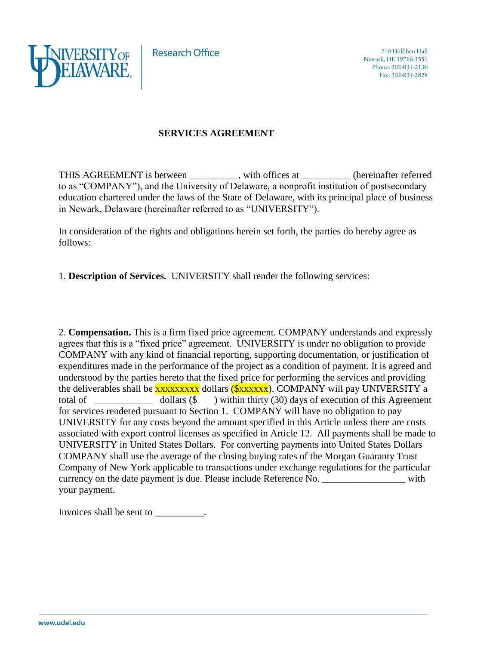**Research Office** 



## **SERVICES AGREEMENT**

THIS AGREEMENT is between \_\_\_\_\_\_\_\_, with offices at \_\_\_\_\_\_\_\_\_ (hereinafter referred to as "COMPANY"), and the University of Delaware, a nonprofit institution of postsecondary education chartered under the laws of the State of Delaware, with its principal place of business in Newark, Delaware (hereinafter referred to as "UNIVERSITY").

In consideration of the rights and obligations herein set forth, the parties do hereby agree as follows:

1. **Description of Services.** UNIVERSITY shall render the following services:

2. **Compensation.** This is a firm fixed price agreement. COMPANY understands and expressly agrees that this is a "fixed price" agreement. UNIVERSITY is under no obligation to provide COMPANY with any kind of financial reporting, supporting documentation, or justification of expenditures made in the performance of the project as a condition of payment. It is agreed and understood by the parties hereto that the fixed price for performing the services and providing the deliverables shall be **xxxxxxxx** dollars ( $\frac{\sqrt{x}}{x}$ xxxxxx). COMPANY will pay UNIVERSITY a total of \_\_\_\_\_\_\_\_\_\_\_\_ dollars (\$ ) within thirty (30) days of execution of this Agreement for services rendered pursuant to Section 1. COMPANY will have no obligation to pay UNIVERSITY for any costs beyond the amount specified in this Article unless there are costs associated with export control licenses as specified in Article 12. All payments shall be made to UNIVERSITY in United States Dollars. For converting payments into United States Dollars COMPANY shall use the average of the closing buying rates of the Morgan Guaranty Trust Company of New York applicable to transactions under exchange regulations for the particular currency on the date payment is due. Please include Reference No. \_\_\_\_\_\_\_\_\_\_\_\_\_\_\_\_\_ with your payment.

Invoices shall be sent to  $\blacksquare$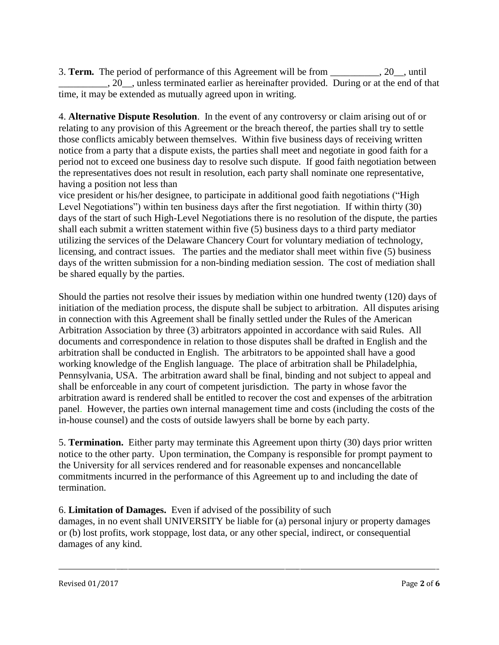3. **Term.** The period of performance of this Agreement will be from \_\_\_\_\_\_\_\_\_\_, 20\_\_, until \_\_\_\_\_\_\_\_\_\_, 20\_\_, unless terminated earlier as hereinafter provided. During or at the end of that time, it may be extended as mutually agreed upon in writing.

4. **Alternative Dispute Resolution**. In the event of any controversy or claim arising out of or relating to any provision of this Agreement or the breach thereof, the parties shall try to settle those conflicts amicably between themselves. Within five business days of receiving written notice from a party that a dispute exists, the parties shall meet and negotiate in good faith for a period not to exceed one business day to resolve such dispute. If good faith negotiation between the representatives does not result in resolution, each party shall nominate one representative, having a position not less than

vice president or his/her designee, to participate in additional good faith negotiations ("High Level Negotiations") within ten business days after the first negotiation. If within thirty (30) days of the start of such High-Level Negotiations there is no resolution of the dispute, the parties shall each submit a written statement within five (5) business days to a third party mediator utilizing the services of the Delaware Chancery Court for voluntary mediation of technology, licensing, and contract issues. The parties and the mediator shall meet within five (5) business days of the written submission for a non-binding mediation session. The cost of mediation shall be shared equally by the parties.

Should the parties not resolve their issues by mediation within one hundred twenty (120) days of initiation of the mediation process, the dispute shall be subject to arbitration. All disputes arising in connection with this Agreement shall be finally settled under the Rules of the American Arbitration Association by three (3) arbitrators appointed in accordance with said Rules. All documents and correspondence in relation to those disputes shall be drafted in English and the arbitration shall be conducted in English. The arbitrators to be appointed shall have a good working knowledge of the English language. The place of arbitration shall be Philadelphia, Pennsylvania, USA. The arbitration award shall be final, binding and not subject to appeal and shall be enforceable in any court of competent jurisdiction. The party in whose favor the arbitration award is rendered shall be entitled to recover the cost and expenses of the arbitration panel. However, the parties own internal management time and costs (including the costs of the in-house counsel) and the costs of outside lawyers shall be borne by each party.

5. **Termination.** Either party may terminate this Agreement upon thirty (30) days prior written notice to the other party. Upon termination, the Company is responsible for prompt payment to the University for all services rendered and for reasonable expenses and noncancellable commitments incurred in the performance of this Agreement up to and including the date of termination.

6. **Limitation of Damages.** Even if advised of the possibility of such damages, in no event shall UNIVERSITY be liable for (a) personal injury or property damages or (b) lost profits, work stoppage, lost data, or any other special, indirect, or consequential damages of any kind.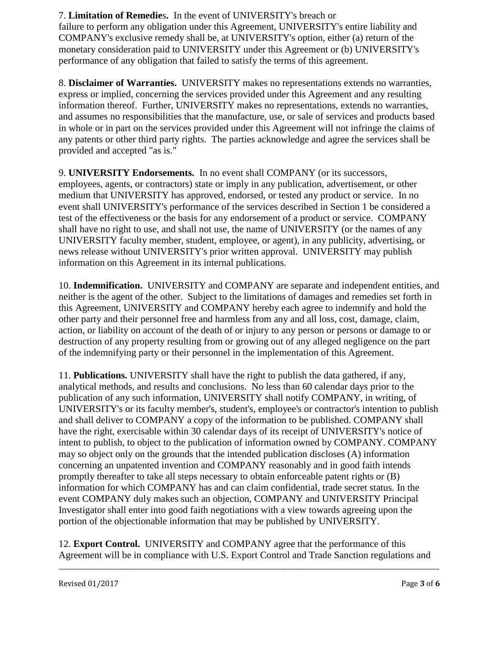### 7. **Limitation of Remedie**s**.** In the event of UNIVERSITY's breach or

failure to perform any obligation under this Agreement, UNIVERSITY's entire liability and COMPANY's exclusive remedy shall be, at UNIVERSITY's option, either (a) return of the monetary consideration paid to UNIVERSITY under this Agreement or (b) UNIVERSITY's performance of any obligation that failed to satisfy the terms of this agreement.

8. **Disclaimer of Warranties.** UNIVERSITY makes no representations extends no warranties, express or implied, concerning the services provided under this Agreement and any resulting information thereof. Further, UNIVERSITY makes no representations, extends no warranties, and assumes no responsibilities that the manufacture, use, or sale of services and products based in whole or in part on the services provided under this Agreement will not infringe the claims of any patents or other third party rights. The parties acknowledge and agree the services shall be provided and accepted "as is."

9. **UNIVERSITY Endorsements.** In no event shall COMPANY (or its successors, employees, agents, or contractors) state or imply in any publication, advertisement, or other medium that UNIVERSITY has approved, endorsed, or tested any product or service. In no event shall UNIVERSITY's performance of the services described in Section 1 be considered a test of the effectiveness or the basis for any endorsement of a product or service. COMPANY shall have no right to use, and shall not use, the name of UNIVERSITY (or the names of any UNIVERSITY faculty member, student, employee, or agent), in any publicity, advertising, or news release without UNIVERSITY's prior written approval. UNIVERSITY may publish information on this Agreement in its internal publications.

10. **Indemnification.** UNIVERSITY and COMPANY are separate and independent entities, and neither is the agent of the other. Subject to the limitations of damages and remedies set forth in this Agreement, UNIVERSITY and COMPANY hereby each agree to indemnify and hold the other party and their personnel free and harmless from any and all loss, cost, damage, claim, action, or liability on account of the death of or injury to any person or persons or damage to or destruction of any property resulting from or growing out of any alleged negligence on the part of the indemnifying party or their personnel in the implementation of this Agreement.

11. **Publications.** UNIVERSITY shall have the right to publish the data gathered, if any, analytical methods, and results and conclusions. No less than 60 calendar days prior to the publication of any such information, UNIVERSITY shall notify COMPANY, in writing, of UNIVERSITY's or its faculty member's, student's, employee's or contractor's intention to publish and shall deliver to COMPANY a copy of the information to be published. COMPANY shall have the right, exercisable within 30 calendar days of its receipt of UNIVERSITY's notice of intent to publish, to object to the publication of information owned by COMPANY. COMPANY may so object only on the grounds that the intended publication discloses (A) information concerning an unpatented invention and COMPANY reasonably and in good faith intends promptly thereafter to take all steps necessary to obtain enforceable patent rights or (B) information for which COMPANY has and can claim confidential, trade secret status. In the event COMPANY duly makes such an objection, COMPANY and UNIVERSITY Principal Investigator shall enter into good faith negotiations with a view towards agreeing upon the portion of the objectionable information that may be published by UNIVERSITY.

12. **Export Control.** UNIVERSITY and COMPANY agree that the performance of this Agreement will be in compliance with U.S. Export Control and Trade Sanction regulations and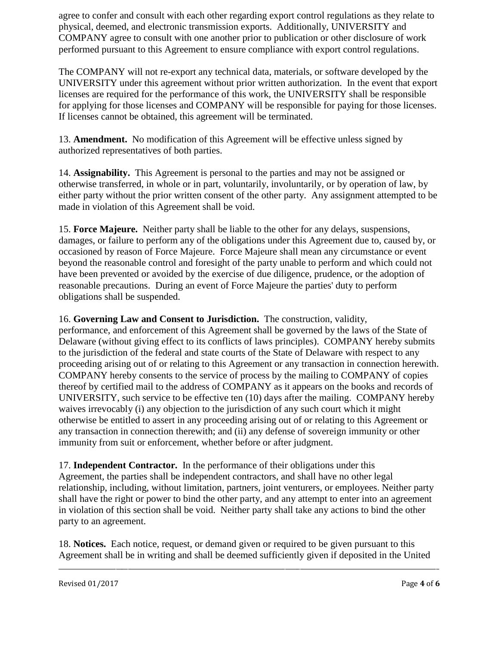agree to confer and consult with each other regarding export control regulations as they relate to physical, deemed, and electronic transmission exports. Additionally, UNIVERSITY and COMPANY agree to consult with one another prior to publication or other disclosure of work performed pursuant to this Agreement to ensure compliance with export control regulations.

The COMPANY will not re-export any technical data, materials, or software developed by the UNIVERSITY under this agreement without prior written authorization. In the event that export licenses are required for the performance of this work, the UNIVERSITY shall be responsible for applying for those licenses and COMPANY will be responsible for paying for those licenses. If licenses cannot be obtained, this agreement will be terminated.

13. **Amendment.** No modification of this Agreement will be effective unless signed by authorized representatives of both parties.

14. **Assignability.** This Agreement is personal to the parties and may not be assigned or otherwise transferred, in whole or in part, voluntarily, involuntarily, or by operation of law, by either party without the prior written consent of the other party. Any assignment attempted to be made in violation of this Agreement shall be void.

15. **Force Majeure.** Neither party shall be liable to the other for any delays, suspensions, damages, or failure to perform any of the obligations under this Agreement due to, caused by, or occasioned by reason of Force Majeure. Force Majeure shall mean any circumstance or event beyond the reasonable control and foresight of the party unable to perform and which could not have been prevented or avoided by the exercise of due diligence, prudence, or the adoption of reasonable precautions. During an event of Force Majeure the parties' duty to perform obligations shall be suspended.

16. **Governing Law and Consent to Jurisdiction.** The construction, validity, performance, and enforcement of this Agreement shall be governed by the laws of the State of Delaware (without giving effect to its conflicts of laws principles). COMPANY hereby submits to the jurisdiction of the federal and state courts of the State of Delaware with respect to any proceeding arising out of or relating to this Agreement or any transaction in connection herewith. COMPANY hereby consents to the service of process by the mailing to COMPANY of copies thereof by certified mail to the address of COMPANY as it appears on the books and records of UNIVERSITY, such service to be effective ten (10) days after the mailing. COMPANY hereby waives irrevocably (i) any objection to the jurisdiction of any such court which it might otherwise be entitled to assert in any proceeding arising out of or relating to this Agreement or any transaction in connection therewith; and (ii) any defense of sovereign immunity or other immunity from suit or enforcement, whether before or after judgment.

17. **Independent Contractor.** In the performance of their obligations under this Agreement, the parties shall be independent contractors, and shall have no other legal relationship, including, without limitation, partners, joint venturers, or employees. Neither party shall have the right or power to bind the other party, and any attempt to enter into an agreement in violation of this section shall be void. Neither party shall take any actions to bind the other party to an agreement.

18. **Notices.** Each notice, request, or demand given or required to be given pursuant to this Agreement shall be in writing and shall be deemed sufficiently given if deposited in the United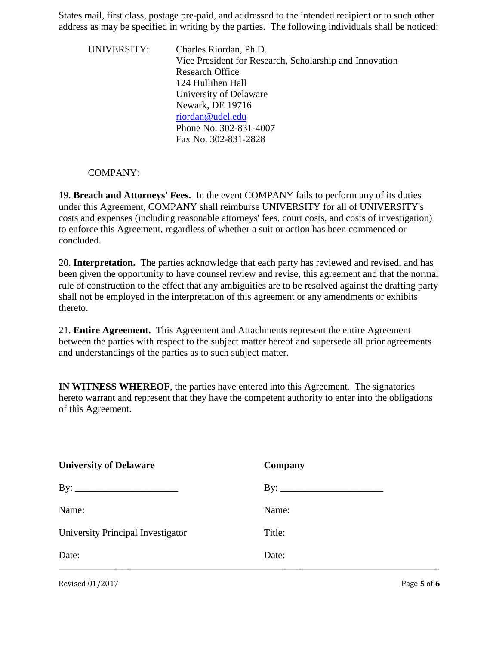States mail, first class, postage pre-paid, and addressed to the intended recipient or to such other address as may be specified in writing by the parties. The following individuals shall be noticed:

UNIVERSITY: Charles Riordan, Ph.D. Vice President for Research, Scholarship and Innovation Research Office 124 Hullihen Hall University of Delaware Newark, DE 19716 [riordan@udel.edu](mailto:riordan@udel.edu) Phone No. 302-831-4007 Fax No. 302-831-2828

#### COMPANY:

19. **Breach and Attorneys' Fees.** In the event COMPANY fails to perform any of its duties under this Agreement, COMPANY shall reimburse UNIVERSITY for all of UNIVERSITY's costs and expenses (including reasonable attorneys' fees, court costs, and costs of investigation) to enforce this Agreement, regardless of whether a suit or action has been commenced or concluded.

20. **Interpretation.** The parties acknowledge that each party has reviewed and revised, and has been given the opportunity to have counsel review and revise, this agreement and that the normal rule of construction to the effect that any ambiguities are to be resolved against the drafting party shall not be employed in the interpretation of this agreement or any amendments or exhibits thereto.

21. **Entire Agreement.** This Agreement and Attachments represent the entire Agreement between the parties with respect to the subject matter hereof and supersede all prior agreements and understandings of the parties as to such subject matter.

**IN WITNESS WHEREOF**, the parties have entered into this Agreement. The signatories hereto warrant and represent that they have the competent authority to enter into the obligations of this Agreement.

| <b>University of Delaware</b>     | Company |
|-----------------------------------|---------|
|                                   |         |
| Name:                             | Name:   |
| University Principal Investigator | Title:  |
| Date:                             | Date:   |
|                                   |         |

Revised 01/2017 Page 5 of 6